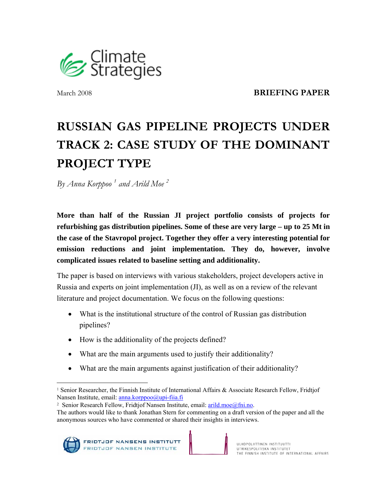

March 2008**BRIEFING PAPER** 

# **RUSSIAN GAS PIPELINE PROJECTS UNDER TRACK 2: CASE STUDY OF THE DOMINANT PROJECT TYPE**

*By Anna Korppoo 1 and Arild Moe 2*

**More than half of the Russian JI project portfolio consists of projects for refurbishing gas distribution pipelines. Some of these are very large – up to 25 Mt in the case of the Stavropol project. Together they offer a very interesting potential for emission reductions and joint implementation. They do, however, involve complicated issues related to baseline setting and additionality.** 

The paper is based on interviews with various stakeholders, project developers active in Russia and experts on joint implementation (JI), as well as on a review of the relevant literature and project documentation. We focus on the following questions:

- What is the institutional structure of the control of Russian gas distribution pipelines?
- How is the additionality of the projects defined?
- What are the main arguments used to justify their additionality?
- What are the main arguments against justification of their additionality?

<sup>2</sup> Senior Research Fellow, Fridtjof Nansen Institute, email: arild.moe@fni.no.

The authors would like to thank Jonathan Stern for commenting on a draft version of the paper and all the anonymous sources who have commented or shared their insights in interviews.



 $\overline{a}$ <sup>1</sup> Senior Researcher, the Finnish Institute of International Affairs & Associate Research Fellow, Fridtjof Nansen Institute, email: anna.korppoo@upi-fiia.fi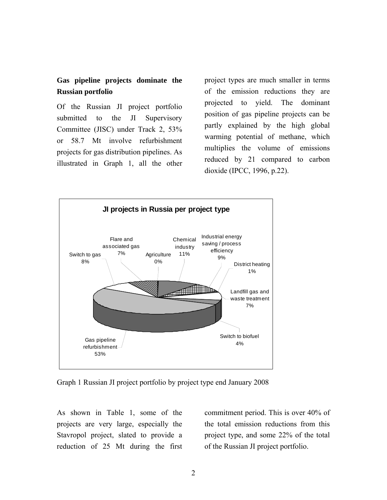## **Gas pipeline projects dominate the Russian portfolio**

Of the Russian JI project portfolio submitted to the JI Supervisory Committee (JISC) under Track 2, 53% or 58.7 Mt involve refurbishment projects for gas distribution pipelines. As illustrated in Graph 1, all the other project types are much smaller in terms of the emission reductions they are projected to yield. The dominant position of gas pipeline projects can be partly explained by the high global warming potential of methane, which multiplies the volume of emissions reduced by 21 compared to carbon dioxide (IPCC, 1996, p.22).



Graph 1 Russian JI project portfolio by project type end January 2008

As shown in Table 1, some of the projects are very large, especially the Stavropol project, slated to provide a reduction of 25 Mt during the first commitment period. This is over 40% of the total emission reductions from this project type, and some 22% of the total of the Russian JI project portfolio.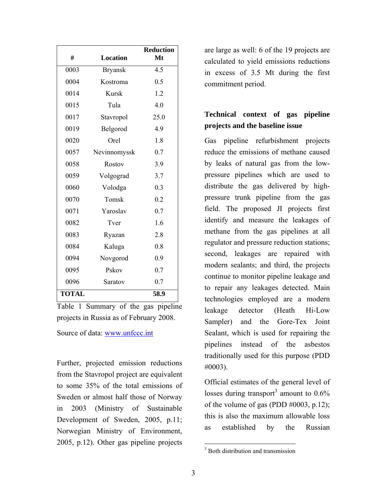| #            | <b>Location</b> | <b>Reduction</b><br>Mt |
|--------------|-----------------|------------------------|
| 0003         | <b>Bryansk</b>  | 4.5                    |
| 0004         | Kostroma        | 0.5                    |
| 0014         | <b>Kursk</b>    | 1.2                    |
| 0015         | Tula            | 4.0                    |
| 0017         | Stavropol       | 25.0                   |
| 0019         | Belgorod        | 4.9                    |
| 0020         | Orel            | 1.8                    |
| 0057         | Nevinnomyssk    | 0.7                    |
| 0058         | Rostov          | 3.9                    |
| 0059         | Volgograd       | 3.7                    |
| 0060         | Volodga         | 0.3                    |
| 0070         | Tomsk           | 0.2                    |
| 0071         | Yaroslav        | 0.7                    |
| 0082         | Tver            | 1.6                    |
| 0083         | Ryazan          | 2.8                    |
| 0084         | Kaluga          | 0.8                    |
| 0094         | Novgorod        | 0.9                    |
| 0095         | Pskov           | 0.7                    |
| 0096         | Saratov         | 0.7                    |
| <b>TOTAL</b> |                 | 58.9                   |

Table 1 Summary of the gas pipeline projects in Russia as of February 2008.

Source of data: www.unfccc.int

Further, projected emission reductions from the Stavropol project are equivalent to some 35% of the total emissions of Sweden or almost half those of Norway in 2003 (Ministry of Sustainable Development of Sweden, 2005, p.11; Norwegian Ministry of Environment, 2005, p.12). Other gas pipeline projects

are large as well: 6 of the 19 projects are calculated to yield emissions reductions in excess of 3.5 Mt during the first commitment period.

# **Technical context of gas pipeline projects and the baseline issue**

Gas pipeline refurbishment projects reduce the emissions of methane caused by leaks of natural gas from the lowpressure pipelines which are used to distribute the gas delivered by highpressure trunk pipeline from the gas field. The proposed JI projects first identify and measure the leakages of methane from the gas pipelines at all regulator and pressure reduction stations; second, leakages are repaired with modern sealants; and third, the projects continue to monitor pipeline leakage and to repair any leakages detected. Main technologies employed are a modern leakage detector (Heath Hi-Low Sampler) and the Gore-Tex Joint Sealant, which is used for repairing the pipelines instead of the asbestos traditionally used for this purpose (PDD #0003).

Official estimates of the general level of losses during transport<sup>3</sup> amount to  $0.6\%$ of the volume of gas (PDD  $\#0003$ , p.12); this is also the maximum allowable loss as established by the Russian

<sup>&</sup>lt;sup>3</sup> Both distribution and transmission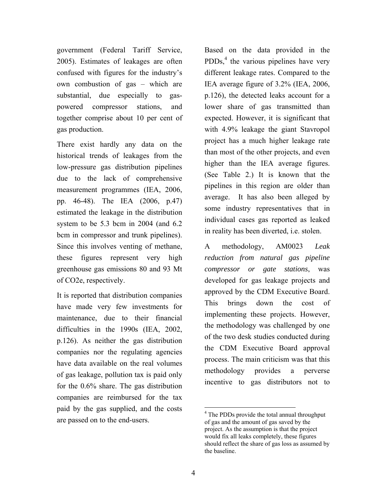government (Federal Tariff Service, 2005). Estimates of leakages are often confused with figures for the industry's own combustion of gas – which are substantial, due especially to gaspowered compressor stations, and together comprise about 10 per cent of gas production.

There exist hardly any data on the historical trends of leakages from the low-pressure gas distribution pipelines due to the lack of comprehensive measurement programmes (IEA, 2006, pp. 46-48). The IEA (2006, p.47) estimated the leakage in the distribution system to be 5.3 bcm in 2004 (and 6.2 bcm in compressor and trunk pipelines). Since this involves venting of methane, these figures represent very high greenhouse gas emissions 80 and 93 Mt of CO2e, respectively.

It is reported that distribution companies have made very few investments for maintenance, due to their financial difficulties in the 1990s (IEA, 2002, p.126). As neither the gas distribution companies nor the regulating agencies have data available on the real volumes of gas leakage, pollution tax is paid only for the 0.6% share. The gas distribution companies are reimbursed for the tax paid by the gas supplied, and the costs are passed on to the end-users.

Based on the data provided in the  $PDDs<sub>1</sub><sup>4</sup>$  the various pipelines have very different leakage rates. Compared to the IEA average figure of 3.2% (IEA, 2006, p.126), the detected leaks account for a lower share of gas transmitted than expected. However, it is significant that with 4.9% leakage the giant Stavropol project has a much higher leakage rate than most of the other projects, and even higher than the IEA average figures. (See Table 2.) It is known that the pipelines in this region are older than average. It has also been alleged by some industry representatives that in individual cases gas reported as leaked in reality has been diverted, i.e. stolen.

A methodology, AM0023 *Leak reduction from natural gas pipeline compressor or gate stations*, was developed for gas leakage projects and approved by the CDM Executive Board. This brings down the cost of implementing these projects. However, the methodology was challenged by one of the two desk studies conducted during the CDM Executive Board approval process. The main criticism was that this methodology provides a perverse incentive to gas distributors not to

<sup>&</sup>lt;sup>4</sup> The PDDs provide the total annual throughput of gas and the amount of gas saved by the project. As the assumption is that the project would fix all leaks completely, these figures should reflect the share of gas loss as assumed by the baseline.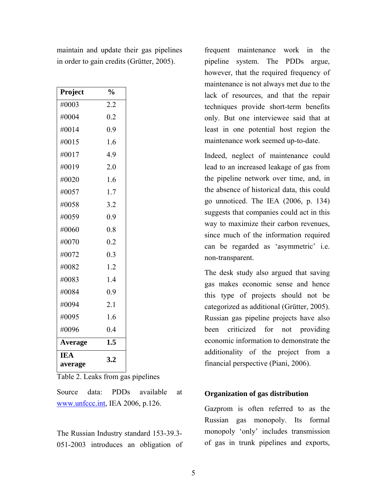| Project        | $\frac{0}{0}$    |
|----------------|------------------|
| #0003          | 2.2              |
| #0004          | 0.2              |
| #0014          | 0.9              |
| #0015          | 1.6              |
| #0017          | 4.9              |
| #0019          | 2.0              |
| #0020          | 1.6              |
| #0057          | 1.7              |
| #0058          | 3.2              |
| #0059          | 0.9              |
| #0060          | 0.8              |
| #0070          | 0.2              |
| #0072          | 0.3              |
| #0082          | 1.2              |
| #0083          | 1.4              |
| #0084          | 0.9              |
| #0094          | 2.1              |
| #0095          | 1.6              |
| #0096          | 0.4              |
| <b>Average</b> | $\overline{1.5}$ |
| IEA<br>average | 3.2              |

maintain and update their gas pipelines in order to gain credits (Grütter, 2005).

Table 2. Leaks from gas pipelines

Source data: PDDs available at www.unfccc.int, IEA 2006, p.126.

The Russian Industry standard 153-39.3- 051-2003 introduces an obligation of

frequent maintenance work in the pipeline system. The PDDs argue, however, that the required frequency of maintenance is not always met due to the lack of resources, and that the repair techniques provide short-term benefits only. But one interviewee said that at least in one potential host region the maintenance work seemed up-to-date.

Indeed, neglect of maintenance could lead to an increased leakage of gas from the pipeline network over time, and, in the absence of historical data, this could go unnoticed. The IEA (2006, p. 134) suggests that companies could act in this way to maximize their carbon revenues, since much of the information required can be regarded as 'asymmetric' i.e. non-transparent.

The desk study also argued that saving gas makes economic sense and hence this type of projects should not be categorized as additional (Grütter, 2005). Russian gas pipeline projects have also been criticized for not providing economic information to demonstrate the additionality of the project from a financial perspective (Piani, 2006).

### **Organization of gas distribution**

Gazprom is often referred to as the Russian gas monopoly. Its formal monopoly 'only' includes transmission of gas in trunk pipelines and exports,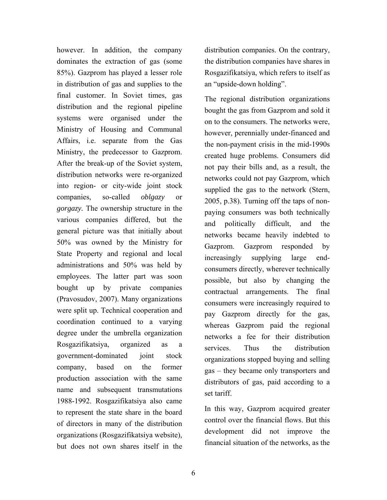however. In addition, the company dominates the extraction of gas (some 85%). Gazprom has played a lesser role in distribution of gas and supplies to the final customer. In Soviet times, gas distribution and the regional pipeline systems were organised under the Ministry of Housing and Communal Affairs, i.e. separate from the Gas Ministry, the predecessor to Gazprom. After the break-up of the Soviet system, distribution networks were re-organized into region- or city-wide joint stock companies, so-called *oblgazy* or *gorgazy.* The ownership structure in the various companies differed, but the general picture was that initially about 50% was owned by the Ministry for State Property and regional and local administrations and 50% was held by employees. The latter part was soon bought up by private companies (Pravosudov, 2007). Many organizations were split up. Technical cooperation and coordination continued to a varying degree under the umbrella organization Rosgazifikatsiya, organized as a government-dominated joint stock company, based on the former production association with the same name and subsequent transmutations 1988-1992. Rosgazifikatsiya also came to represent the state share in the board of directors in many of the distribution organizations (Rosgazifikatsiya website), but does not own shares itself in the

distribution companies. On the contrary, the distribution companies have shares in Rosgazifikatsiya, which refers to itself as an "upside-down holding".

The regional distribution organizations bought the gas from Gazprom and sold it on to the consumers. The networks were, however, perennially under-financed and the non-payment crisis in the mid-1990s created huge problems. Consumers did not pay their bills and, as a result, the networks could not pay Gazprom, which supplied the gas to the network (Stern, 2005, p.38). Turning off the taps of nonpaying consumers was both technically and politically difficult, and the networks became heavily indebted to Gazprom. Gazprom responded by increasingly supplying large endconsumers directly, wherever technically possible, but also by changing the contractual arrangements. The final consumers were increasingly required to pay Gazprom directly for the gas, whereas Gazprom paid the regional networks a fee for their distribution services. Thus the distribution organizations stopped buying and selling gas – they became only transporters and distributors of gas, paid according to a set tariff.

In this way, Gazprom acquired greater control over the financial flows. But this development did not improve the financial situation of the networks, as the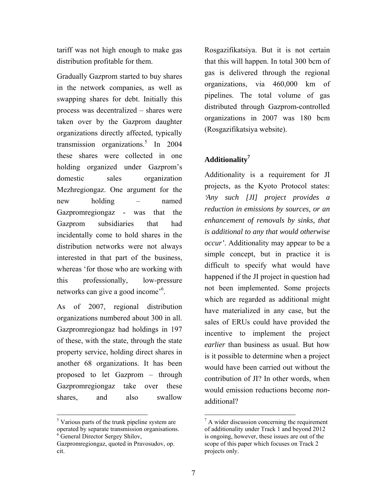tariff was not high enough to make gas distribution profitable for them.

Gradually Gazprom started to buy shares in the network companies, as well as swapping shares for debt. Initially this process was decentralized – shares were taken over by the Gazprom daughter organizations directly affected, typically transmission organizations.<sup>5</sup> In 2004 these shares were collected in one holding organized under Gazprom's domestic sales organization Mezhregiongaz. One argument for the new holding – named Gazpromregiongaz - was that the Gazprom subsidiaries that had incidentally come to hold shares in the distribution networks were not always interested in that part of the business, whereas 'for those who are working with this professionally, low-pressure networks can give a good income<sup>56</sup>.

As of 2007, regional distribution organizations numbered about 300 in all. Gazpromregiongaz had holdings in 197 of these, with the state, through the state property service, holding direct shares in another 68 organizations. It has been proposed to let Gazprom – through Gazpromregiongaz take over these shares, and also swallow

 $\overline{a}$ 

Rosgazifikatsiya. But it is not certain that this will happen. In total 300 bcm of gas is delivered through the regional organizations, via 460,000 km of pipelines. The total volume of gas distributed through Gazprom-controlled organizations in 2007 was 180 bcm (Rosgazifikatsiya website).

## **Additionality7**

Additionality is a requirement for JI projects, as the Kyoto Protocol states: *'Any such [JI] project provides a reduction in emissions by sources, or an enhancement of removals by sinks, that is additional to any that would otherwise occur'*. Additionality may appear to be a simple concept, but in practice it is difficult to specify what would have happened if the JI project in question had not been implemented. Some projects which are regarded as additional might have materialized in any case, but the sales of ERUs could have provided the incentive to implement the project *earlier* than business as usual. But how is it possible to determine when a project would have been carried out without the contribution of JI? In other words, when would emission reductions become *non*additional?

<sup>&</sup>lt;sup>5</sup> Various parts of the trunk pipeline system are operated by separate transmission organisations. 6 General Director Sergey Shilov,

Gazpromregiongaz, quoted in Pravosudov, op. cit.

 $7 A$  wider discussion concerning the requirement of additionality under Track 1 and beyond 2012 is ongoing, however, these issues are out of the scope of this paper which focuses on Track 2 projects only.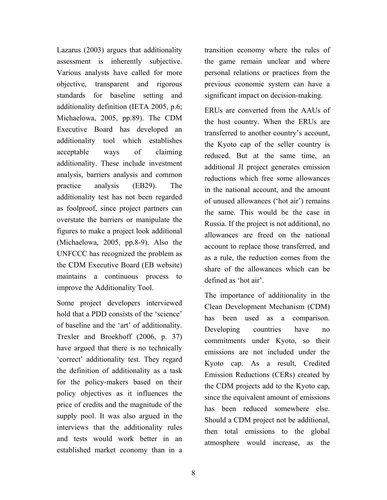Lazarus (2003) argues that additionality assessment is inherently subjective. Various analysts have called for more objective, transparent and rigorous standards for baseline setting and additionality definition (IETA 2005, p.6; Michaelowa, 2005, pp.89). The CDM Executive Board has developed an additionality tool which establishes acceptable ways of claiming additionality. These include investment analysis, barriers analysis and common practice analysis (EB29). The additionality test has not been regarded as foolproof, since project partners can overstate the barriers or manipulate the figures to make a project look additional (Michaelowa, 2005, pp.8-9). Also the UNFCCC has recognized the problem as the CDM Executive Board (EB website) maintains a continuous process to improve the Additionality Tool.

Some project developers interviewed hold that a PDD consists of the 'science' of baseline and the 'art' of additionality. Trexler and Broekhoff (2006, p. 37) have argued that there is no technically 'correct' additionality test. They regard the definition of additionality as a task for the policy-makers based on their policy objectives as it influences the price of credits and the magnitude of the supply pool. It was also argued in the interviews that the additionality rules and tests would work better in an established market economy than in a transition economy where the rules of the game remain unclear and where personal relations or practices from the previous economic system can have a significant impact on decision-making.

ERUs are converted from the AAUs of the host country. When the ERUs are transferred to another country's account, the Kyoto cap of the seller country is reduced. But at the same time, an additional JI project generates emission reductions which free some allowances in the national account, and the amount of unused allowances ('hot air') remains the same. This would be the case in Russia. If the project is not additional, no allowances are freed on the national account to replace those transferred, and as a rule, the reduction comes from the share of the allowances which can be defined as 'hot air'.

The importance of additionality in the Clean Development Mechanism (CDM) has been used as a comparison. Developing countries have no commitments under Kyoto, so their emissions are not included under the Kyoto cap. As a result, Credited Emission Reductions (CERs) created by the CDM projects add to the Kyoto cap, since the equivalent amount of emissions has been reduced somewhere else. Should a CDM project not be additional, then total emissions to the global atmosphere would increase, as the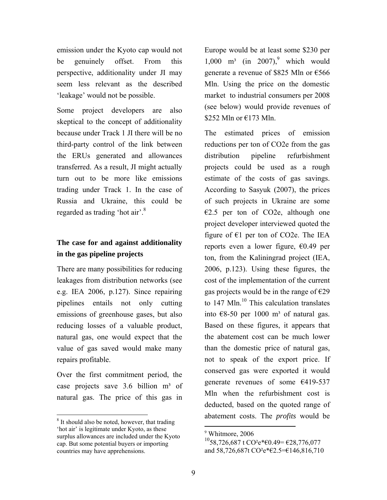emission under the Kyoto cap would not be genuinely offset. From this perspective, additionality under JI may seem less relevant as the described 'leakage' would not be possible.

Some project developers are also skeptical to the concept of additionality because under Track 1 JI there will be no third-party control of the link between the ERUs generated and allowances transferred. As a result, JI might actually turn out to be more like emissions trading under Track 1. In the case of Russia and Ukraine, this could be regarded as trading 'hot air'.<sup>8</sup>

# **The case for and against additionality in the gas pipeline projects**

There are many possibilities for reducing leakages from distribution networks (see e.g. IEA 2006, p.127). Since repairing pipelines entails not only cutting emissions of greenhouse gases, but also reducing losses of a valuable product, natural gas, one would expect that the value of gas saved would make many repairs profitable.

Over the first commitment period, the case projects save  $3.6$  billion  $m<sup>3</sup>$  of natural gas. The price of this gas in

 $\overline{a}$ 

Europe would be at least some \$230 per  $1,000$  m<sup>3</sup> (in 2007),<sup>9</sup> which would generate a revenue of \$825 Mln or €566 Mln. Using the price on the domestic market to industrial consumers per 2008 (see below) would provide revenues of \$252 Mln or  $E$ 173 Mln.

The estimated prices of emission reductions per ton of CO2e from the gas distribution pipeline refurbishment projects could be used as a rough estimate of the costs of gas savings. According to Sasyuk (2007), the prices of such projects in Ukraine are some  $E2.5$  per ton of CO2e, although one project developer interviewed quoted the figure of  $E1$  per ton of CO2e. The IEA reports even a lower figure,  $\epsilon$ 0.49 per ton, from the Kaliningrad project (IEA, 2006, p.123). Using these figures, the cost of the implementation of the current gas projects would be in the range of  $\epsilon$ 29 to  $147$  Mln.<sup>10</sup> This calculation translates into  $\epsilon$ 8-50 per 1000 m<sup>3</sup> of natural gas. Based on these figures, it appears that the abatement cost can be much lower than the domestic price of natural gas, not to speak of the export price. If conserved gas were exported it would generate revenues of some €419-537 Mln when the refurbishment cost is deducted, based on the quoted range of abatement costs. The *profits* would be

<sup>&</sup>lt;sup>8</sup> It should also be noted, however, that trading 'hot air' is legitimate under Kyoto, as these surplus allowances are included under the Kyoto cap. But some potential buyers or importing countries may have apprehensions.

<sup>9</sup> Whitmore, 2006

 $^{10}$ 58,726,687 t CO<sup>2</sup>e\*€0.49= €28,776,077 and 58,726,687t CO²e\*€2.5=€146,816,710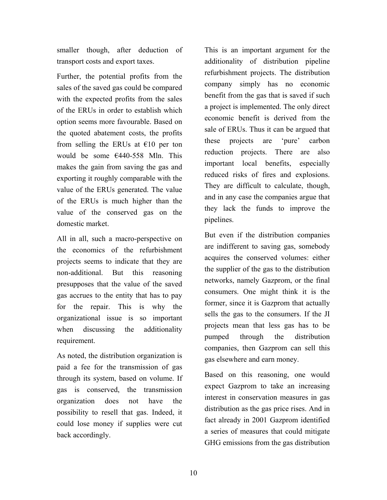smaller though, after deduction of transport costs and export taxes.

Further, the potential profits from the sales of the saved gas could be compared with the expected profits from the sales of the ERUs in order to establish which option seems more favourable. Based on the quoted abatement costs, the profits from selling the ERUs at  $\epsilon$ 10 per ton would be some €440-558 Mln. This makes the gain from saving the gas and exporting it roughly comparable with the value of the ERUs generated. The value of the ERUs is much higher than the value of the conserved gas on the domestic market.

All in all, such a macro-perspective on the economics of the refurbishment projects seems to indicate that they are non-additional. But this reasoning presupposes that the value of the saved gas accrues to the entity that has to pay for the repair. This is why the organizational issue is so important when discussing the additionality requirement.

As noted, the distribution organization is paid a fee for the transmission of gas through its system, based on volume. If gas is conserved, the transmission organization does not have the possibility to resell that gas. Indeed, it could lose money if supplies were cut back accordingly.

This is an important argument for the additionality of distribution pipeline refurbishment projects. The distribution company simply has no economic benefit from the gas that is saved if such a project is implemented. The only direct economic benefit is derived from the sale of ERUs. Thus it can be argued that these projects are 'pure' carbon reduction projects. There are also important local benefits, especially reduced risks of fires and explosions. They are difficult to calculate, though, and in any case the companies argue that they lack the funds to improve the pipelines.

But even if the distribution companies are indifferent to saving gas, somebody acquires the conserved volumes: either the supplier of the gas to the distribution networks, namely Gazprom, or the final consumers. One might think it is the former, since it is Gazprom that actually sells the gas to the consumers. If the JI projects mean that less gas has to be pumped through the distribution companies, then Gazprom can sell this gas elsewhere and earn money.

Based on this reasoning, one would expect Gazprom to take an increasing interest in conservation measures in gas distribution as the gas price rises. And in fact already in 2001 Gazprom identified a series of measures that could mitigate GHG emissions from the gas distribution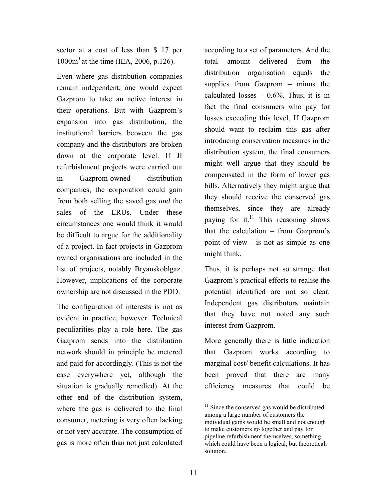sector at a cost of less than \$ 17 per 1000m3 at the time (IEA, 2006, p.126).

Even where gas distribution companies remain independent, one would expect Gazprom to take an active interest in their operations. But with Gazprom's expansion into gas distribution, the institutional barriers between the gas company and the distributors are broken down at the corporate level. If JI refurbishment projects were carried out in Gazprom-owned distribution companies, the corporation could gain from both selling the saved gas *and* the sales of the ERUs. Under these circumstances one would think it would be difficult to argue for the additionality of a project. In fact projects in Gazprom owned organisations are included in the list of projects, notably Bryanskoblgaz. However, implications of the corporate ownership are not discussed in the PDD.

The configuration of interests is not as evident in practice, however. Technical peculiarities play a role here. The gas Gazprom sends into the distribution network should in principle be metered and paid for accordingly. (This is not the case everywhere yet, although the situation is gradually remedied). At the other end of the distribution system, where the gas is delivered to the final consumer, metering is very often lacking or not very accurate. The consumption of gas is more often than not just calculated

according to a set of parameters. And the total amount delivered from the distribution organisation equals the supplies from Gazprom – minus the calculated losses  $-0.6\%$ . Thus, it is in fact the final consumers who pay for losses exceeding this level. If Gazprom should want to reclaim this gas after introducing conservation measures in the distribution system, the final consumers might well argue that they should be compensated in the form of lower gas bills. Alternatively they might argue that they should receive the conserved gas themselves, since they are already paying for it. $11$  This reasoning shows that the calculation – from Gazprom's point of view - is not as simple as one might think.

Thus, it is perhaps not so strange that Gazprom's practical efforts to realise the potential identified are not so clear. Independent gas distributors maintain that they have not noted any such interest from Gazprom.

More generally there is little indication that Gazprom works according to marginal cost/ benefit calculations. It has been proved that there are many efficiency measures that could be

 $11$  Since the conserved gas would be distributed among a large number of customers the individual gains would be small and not enough to make customers go together and pay for pipeline refurbishment themselves, something which could have been a logical, but theoretical, solution.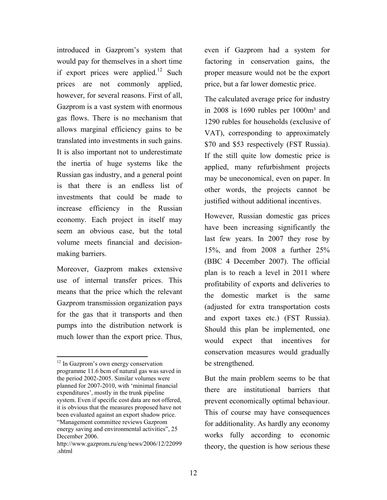introduced in Gazprom's system that would pay for themselves in a short time if export prices were applied.<sup>12</sup> Such prices are not commonly applied, however, for several reasons. First of all, Gazprom is a vast system with enormous gas flows. There is no mechanism that allows marginal efficiency gains to be translated into investments in such gains. It is also important not to underestimate the inertia of huge systems like the Russian gas industry, and a general point is that there is an endless list of investments that could be made to increase efficiency in the Russian economy. Each project in itself may seem an obvious case, but the total volume meets financial and decisionmaking barriers.

Moreover, Gazprom makes extensive use of internal transfer prices. This means that the price which the relevant Gazprom transmission organization pays for the gas that it transports and then pumps into the distribution network is much lower than the export price. Thus,

 $\overline{a}$ 

even if Gazprom had a system for factoring in conservation gains, the proper measure would not be the export price, but a far lower domestic price.

The calculated average price for industry in  $2008$  is 1690 rubles per  $1000m<sup>3</sup>$  and 1290 rubles for households (exclusive of VAT), corresponding to approximately \$70 and \$53 respectively (FST Russia). If the still quite low domestic price is applied, many refurbishment projects may be uneconomical, even on paper. In other words, the projects cannot be justified without additional incentives.

However, Russian domestic gas prices have been increasing significantly the last few years. In 2007 they rose by 15%, and from 2008 a further 25% (BBC 4 December 2007). The official plan is to reach a level in 2011 where profitability of exports and deliveries to the domestic market is the same (adjusted for extra transportation costs and export taxes etc.) (FST Russia). Should this plan be implemented, one would expect that incentives for conservation measures would gradually be strengthened.

But the main problem seems to be that there are institutional barriers that prevent economically optimal behaviour. This of course may have consequences for additionality. As hardly any economy works fully according to economic theory, the question is how serious these

<sup>&</sup>lt;sup>12</sup> In Gazprom's own energy conservation programme 11.6 bcm of natural gas was saved in the period 2002-2005. Similar volumes were planned for 2007-2010, with 'minimal financial expenditures', mostly in the trunk pipeline system. Even if specific cost data are not offered, it is obvious that the measures proposed have not been evaluated against an export shadow price. "Management committee reviews Gazprom energy saving and environmental activities", 25 December 2006.

http://www.gazprom.ru/eng/news/2006/12/22099 .shtml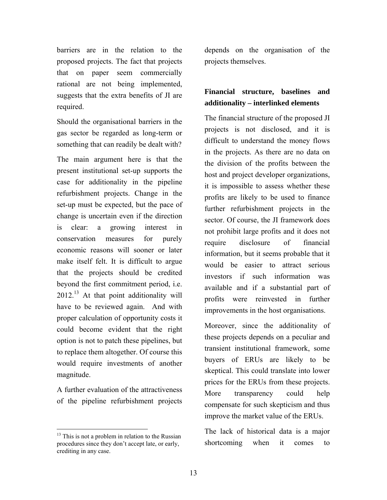barriers are in the relation to the proposed projects. The fact that projects that on paper seem commercially rational are not being implemented, suggests that the extra benefits of JI are required.

Should the organisational barriers in the gas sector be regarded as long-term or something that can readily be dealt with?

The main argument here is that the present institutional set-up supports the case for additionality in the pipeline refurbishment projects. Change in the set-up must be expected, but the pace of change is uncertain even if the direction is clear: a growing interest in conservation measures for purely economic reasons will sooner or later make itself felt. It is difficult to argue that the projects should be credited beyond the first commitment period, i.e.  $2012<sup>13</sup>$  At that point additionality will have to be reviewed again. And with proper calculation of opportunity costs it could become evident that the right option is not to patch these pipelines, but to replace them altogether. Of course this would require investments of another magnitude.

A further evaluation of the attractiveness of the pipeline refurbishment projects

 $\overline{a}$ 

depends on the organisation of the projects themselves.

## **Financial structure, baselines and additionality – interlinked elements**

The financial structure of the proposed JI projects is not disclosed, and it is difficult to understand the money flows in the projects. As there are no data on the division of the profits between the host and project developer organizations, it is impossible to assess whether these profits are likely to be used to finance further refurbishment projects in the sector. Of course, the JI framework does not prohibit large profits and it does not require disclosure of financial information, but it seems probable that it would be easier to attract serious investors if such information was available and if a substantial part of profits were reinvested in further improvements in the host organisations.

Moreover, since the additionality of these projects depends on a peculiar and transient institutional framework, some buyers of ERUs are likely to be skeptical. This could translate into lower prices for the ERUs from these projects. More transparency could help compensate for such skepticism and thus improve the market value of the ERUs.

The lack of historical data is a major shortcoming when it comes to

 $13$  This is not a problem in relation to the Russian procedures since they don't accept late, or early, crediting in any case.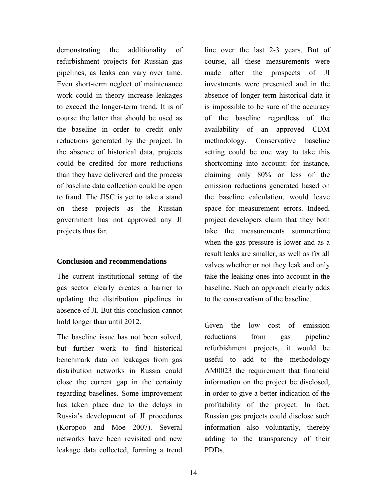demonstrating the additionality of refurbishment projects for Russian gas pipelines, as leaks can vary over time. Even short-term neglect of maintenance work could in theory increase leakages to exceed the longer-term trend. It is of course the latter that should be used as the baseline in order to credit only reductions generated by the project. In the absence of historical data, projects could be credited for more reductions than they have delivered and the process of baseline data collection could be open to fraud. The JISC is yet to take a stand on these projects as the Russian government has not approved any JI projects thus far.

### **Conclusion and recommendations**

The current institutional setting of the gas sector clearly creates a barrier to updating the distribution pipelines in absence of JI. But this conclusion cannot hold longer than until 2012.

The baseline issue has not been solved, but further work to find historical benchmark data on leakages from gas distribution networks in Russia could close the current gap in the certainty regarding baselines. Some improvement has taken place due to the delays in Russia's development of JI procedures (Korppoo and Moe 2007). Several networks have been revisited and new leakage data collected, forming a trend

line over the last 2-3 years. But of course, all these measurements were made after the prospects of JI investments were presented and in the absence of longer term historical data it is impossible to be sure of the accuracy of the baseline regardless of the availability of an approved CDM methodology. Conservative baseline setting could be one way to take this shortcoming into account: for instance, claiming only 80% or less of the emission reductions generated based on the baseline calculation, would leave space for measurement errors. Indeed, project developers claim that they both take the measurements summertime when the gas pressure is lower and as a result leaks are smaller, as well as fix all valves whether or not they leak and only take the leaking ones into account in the baseline. Such an approach clearly adds to the conservatism of the baseline.

Given the low cost of emission reductions from gas pipeline refurbishment projects, it would be useful to add to the methodology AM0023 the requirement that financial information on the project be disclosed, in order to give a better indication of the profitability of the project. In fact, Russian gas projects could disclose such information also voluntarily, thereby adding to the transparency of their PDDs.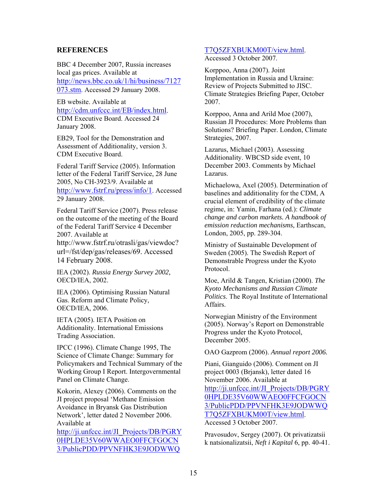#### **REFERENCES**

BBC 4 December 2007, Russia increases local gas prices. Available at http://news.bbc.co.uk/1/hi/business/7127 073.stm. Accessed 29 January 2008.

EB website. Available at http://cdm.unfccc.int/EB/index.html. CDM Executive Board. Accessed 24 January 2008.

EB29, Tool for the Demonstration and Assessment of Additionality, version 3. CDM Executive Board.

Federal Tariff Service (2005). Information letter of the Federal Tariff Service, 28 June 2005, No СН-3923/9. Available at http://www.fstrf.ru/press/info/1. Accessed 29 January 2008.

Federal Tariff Service (2007). Press release on the outcome of the meeting of the Board of the Federal Tariff Service 4 December 2007. Available at http://www.fstrf.ru/otrasli/gas/viewdoc? url=/fst/dep/gas/releases/69. Accessed

14 February 2008.

IEA (2002). *Russia Energy Survey 2002,* OECD/IEA, 2002.

IEA (2006). Optimising Russian Natural Gas. Reform and Climate Policy, OECD/IEA, 2006.

IETA (2005). IETA Position on Additionality. International Emissions Trading Association.

IPCC (1996). Climate Change 1995, The Science of Climate Change: Summary for Policymakers and Technical Summary of the Working Group I Report. Intergovernmental Panel on Climate Change.

Kokorin, Alexey (2006). Comments on the JI project proposal 'Methane Emission Avoidance in Bryansk Gas Distribution Network', letter dated 2 November 2006. Available at

http://ji.unfccc.int/JI\_Projects/DB/PGRY 0HPLDE35V60WWAEO0FFCFGOCN 3/PublicPDD/PPVNFHK3E9JODWWQ

#### T7Q5ZFXBUKM00T/view.html.

Accessed 3 October 2007.

Korppoo, Anna (2007). Joint Implementation in Russia and Ukraine: Review of Projects Submitted to JISC. Climate Strategies Briefing Paper, October 2007.

Korppoo, Anna and Arild Moe (2007), Russian JI Procedures: More Problems than Solutions? Briefing Paper. London, Climate Strategies, 2007.

Lazarus, Michael (2003). Assessing Additionality. WBCSD side event, 10 December 2003. Comments by Michael Lazarus.

Michaelowa, Axel (2005). Determination of baselines and additionality for the CDM, A crucial element of credibility of the climate regime, in: Yamin, Farhana (ed.): *Climate change and carbon markets. A handbook of emission reduction mechanisms,* Earthscan, London, 2005, pp. 289-304.

Ministry of Sustainable Development of Sweden (2005). The Swedish Report of Demonstrable Progress under the Kyoto Protocol.

Moe, Arild & Tangen, Kristian (2000). *The Kyoto Mechanisms and Russian Climate Politics*. The Royal Institute of International Affairs.

Norwegian Ministry of the Environment (2005). Norway's Report on Demonstrable Progress under the Kyoto Protocol, December 2005.

OAO Gazprom (2006). *Annual report 2006.*

Piani, Gianguido (2006). Comment on JI project 0003 (Brjansk), letter dated 16 November 2006. Available at http://ji.unfccc.int/JI\_Projects/DB/PGRY 0HPLDE35V60WWAEO0FFCFGOCN 3/PublicPDD/PPVNFHK3E9JODWWQ T7Q5ZFXBUKM00T/view.html. Accessed 3 October 2007.

Pravosudov, Sergey (2007). Ot privatizatsii k natsionalizatsii, *Neft i Kapital* 6, pp. 40-41.